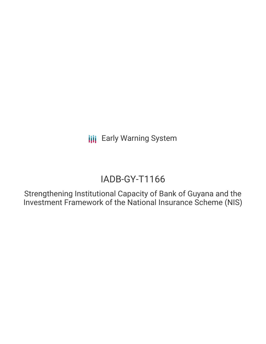**III** Early Warning System

# IADB-GY-T1166

Strengthening Institutional Capacity of Bank of Guyana and the Investment Framework of the National Insurance Scheme (NIS)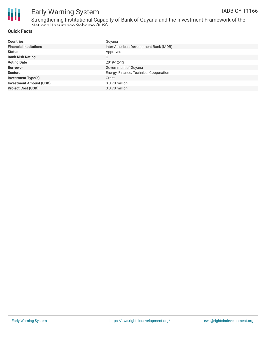

# Early Warning System

Strengthening Institutional Capacity of Bank of Guyana and the Investment Framework of the National Insurance Scheme (NIS)

### **Quick Facts**

| <b>Countries</b>               | Guyana                                 |
|--------------------------------|----------------------------------------|
| <b>Financial Institutions</b>  | Inter-American Development Bank (IADB) |
| <b>Status</b>                  | Approved                               |
| <b>Bank Risk Rating</b>        | C                                      |
| <b>Voting Date</b>             | 2019-12-13                             |
| <b>Borrower</b>                | Government of Guyana                   |
| <b>Sectors</b>                 | Energy, Finance, Technical Cooperation |
| <b>Investment Type(s)</b>      | Grant                                  |
| <b>Investment Amount (USD)</b> | $$0.70$ million                        |
| <b>Project Cost (USD)</b>      | \$0.70 million                         |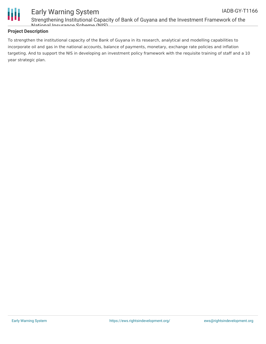

#### Early Warning System Strengthening Institutional Capacity of Bank of Guyana and the Investment Framework of the National Insurance Scheme (NIS) IADB-GY-T1166

### **Project Description**

To strengthen the institutional capacity of the Bank of Guyana in its research, analytical and modelling capabilities to incorporate oil and gas in the national accounts, balance of payments, monetary, exchange rate policies and inflation targeting. And to support the NIS in developing an investment policy framework with the requisite training of staff and a 10 year strategic plan.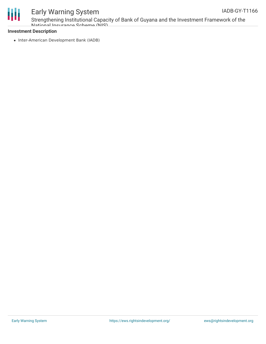

# Early Warning System

Strengthening Institutional Capacity of Bank of Guyana and the Investment Framework of the National Insurance Scheme (NIS)

### **Investment Description**

• Inter-American Development Bank (IADB)